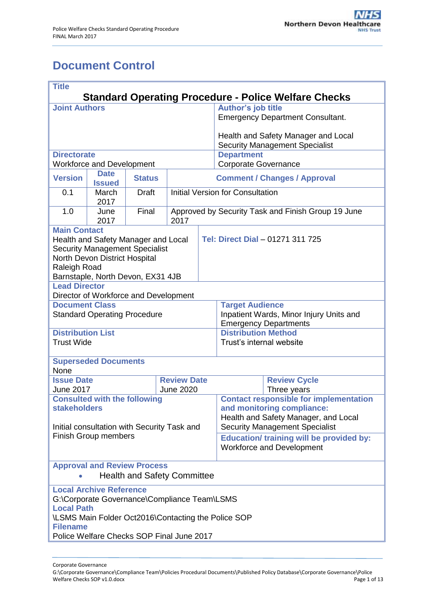# <span id="page-0-0"></span>**Document Control**

| <b>Title</b><br><b>Standard Operating Procedure - Police Welfare Checks</b>    |                                       |                                        |      |                                                    |                                                                               |                                         |  |  |  |
|--------------------------------------------------------------------------------|---------------------------------------|----------------------------------------|------|----------------------------------------------------|-------------------------------------------------------------------------------|-----------------------------------------|--|--|--|
| <b>Joint Authors</b>                                                           |                                       |                                        |      |                                                    | <b>Author's job title</b>                                                     |                                         |  |  |  |
|                                                                                |                                       |                                        |      |                                                    |                                                                               | <b>Emergency Department Consultant.</b> |  |  |  |
|                                                                                |                                       |                                        |      |                                                    | Health and Safety Manager and Local<br><b>Security Management Specialist</b>  |                                         |  |  |  |
| <b>Directorate</b>                                                             |                                       |                                        |      |                                                    | <b>Department</b>                                                             |                                         |  |  |  |
| <b>Workforce and Development</b><br><b>Date</b>                                |                                       |                                        |      |                                                    | <b>Corporate Governance</b>                                                   |                                         |  |  |  |
| <b>Version</b>                                                                 | <b>Issued</b>                         | <b>Status</b>                          |      | <b>Comment / Changes / Approval</b>                |                                                                               |                                         |  |  |  |
| 0.1                                                                            | March<br>2017                         | <b>Draft</b>                           |      | <b>Initial Version for Consultation</b>            |                                                                               |                                         |  |  |  |
| 1.0                                                                            | June<br>2017                          | Final                                  | 2017 | Approved by Security Task and Finish Group 19 June |                                                                               |                                         |  |  |  |
| <b>Main Contact</b>                                                            |                                       |                                        |      |                                                    |                                                                               |                                         |  |  |  |
| Health and Safety Manager and Local<br><b>Security Management Specialist</b>   |                                       |                                        |      |                                                    | Tel: Direct Dial - 01271 311 725                                              |                                         |  |  |  |
|                                                                                | North Devon District Hospital         |                                        |      |                                                    |                                                                               |                                         |  |  |  |
| Raleigh Road                                                                   |                                       |                                        |      |                                                    |                                                                               |                                         |  |  |  |
| <b>Lead Director</b>                                                           | Barnstaple, North Devon, EX31 4JB     |                                        |      |                                                    |                                                                               |                                         |  |  |  |
|                                                                                | Director of Workforce and Development |                                        |      |                                                    |                                                                               |                                         |  |  |  |
| <b>Document Class</b>                                                          |                                       |                                        |      |                                                    | <b>Target Audience</b>                                                        |                                         |  |  |  |
|                                                                                | <b>Standard Operating Procedure</b>   |                                        |      |                                                    | Inpatient Wards, Minor Injury Units and                                       |                                         |  |  |  |
| <b>Distribution List</b>                                                       |                                       |                                        |      |                                                    | <b>Emergency Departments</b><br><b>Distribution Method</b>                    |                                         |  |  |  |
| <b>Trust Wide</b>                                                              |                                       |                                        |      |                                                    | Trust's internal website                                                      |                                         |  |  |  |
|                                                                                | <b>Superseded Documents</b>           |                                        |      |                                                    |                                                                               |                                         |  |  |  |
| None                                                                           |                                       |                                        |      |                                                    |                                                                               |                                         |  |  |  |
| <b>Issue Date</b><br><b>June 2017</b>                                          |                                       | <b>Review Date</b><br><b>June 2020</b> |      |                                                    | <b>Review Cycle</b><br>Three years                                            |                                         |  |  |  |
| <b>Consulted with the following</b>                                            |                                       |                                        |      |                                                    | <b>Contact responsible for implementation</b>                                 |                                         |  |  |  |
| <b>stakeholders</b>                                                            |                                       |                                        |      |                                                    | and monitoring compliance:                                                    |                                         |  |  |  |
| Initial consultation with Security Task and<br><b>Finish Group members</b>     |                                       |                                        |      |                                                    | Health and Safety Manager, and Local<br><b>Security Management Specialist</b> |                                         |  |  |  |
|                                                                                |                                       |                                        |      |                                                    | <b>Education/ training will be provided by:</b>                               |                                         |  |  |  |
|                                                                                |                                       |                                        |      |                                                    | <b>Workforce and Development</b>                                              |                                         |  |  |  |
| <b>Approval and Review Process</b><br><b>Health and Safety Committee</b>       |                                       |                                        |      |                                                    |                                                                               |                                         |  |  |  |
| <b>Local Archive Reference</b><br>G:\Corporate Governance\Compliance Team\LSMS |                                       |                                        |      |                                                    |                                                                               |                                         |  |  |  |
| <b>Local Path</b><br>\LSMS Main Folder Oct2016\Contacting the Police SOP       |                                       |                                        |      |                                                    |                                                                               |                                         |  |  |  |
| <b>Filename</b><br>Police Welfare Checks SOP Final June 2017                   |                                       |                                        |      |                                                    |                                                                               |                                         |  |  |  |
|                                                                                |                                       |                                        |      |                                                    |                                                                               |                                         |  |  |  |

Corporate Governance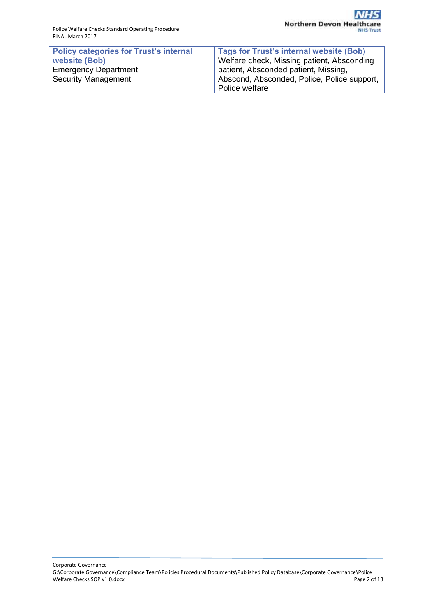| <b>Policy categories for Trust's internal</b> | <b>Tags for Trust's internal website (Bob)</b> |
|-----------------------------------------------|------------------------------------------------|
| website (Bob)                                 | Welfare check, Missing patient, Absconding     |
| <b>Emergency Department</b>                   | patient, Absconded patient, Missing,           |
| <b>Security Management</b>                    | Abscond, Absconded, Police, Police support,    |
|                                               | Police welfare                                 |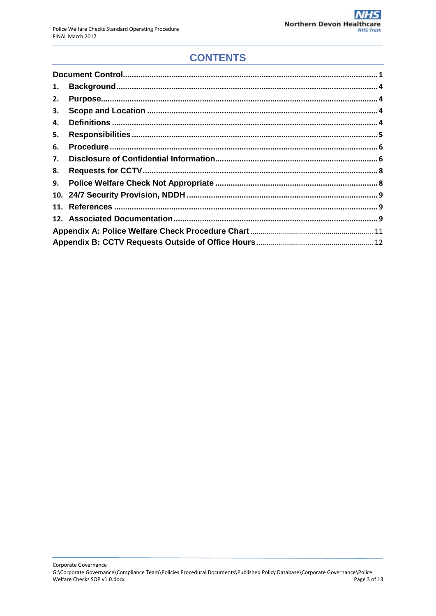## **CONTENTS**

| 1. |  |  |  |  |  |
|----|--|--|--|--|--|
| 2. |  |  |  |  |  |
| 3. |  |  |  |  |  |
| 4. |  |  |  |  |  |
| 5. |  |  |  |  |  |
| 6. |  |  |  |  |  |
| 7. |  |  |  |  |  |
| 8. |  |  |  |  |  |
| 9. |  |  |  |  |  |
|    |  |  |  |  |  |
|    |  |  |  |  |  |
|    |  |  |  |  |  |
|    |  |  |  |  |  |
|    |  |  |  |  |  |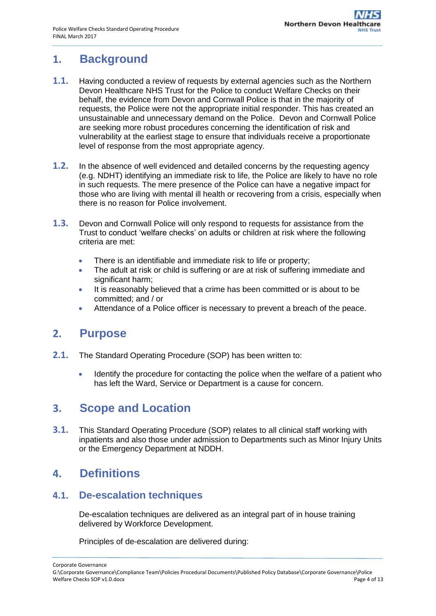## <span id="page-3-0"></span>**1. Background**

- **1.1.** Having conducted a review of requests by external agencies such as the Northern Devon Healthcare NHS Trust for the Police to conduct Welfare Checks on their behalf, the evidence from Devon and Cornwall Police is that in the majority of requests, the Police were not the appropriate initial responder. This has created an unsustainable and unnecessary demand on the Police. Devon and Cornwall Police are seeking more robust procedures concerning the identification of risk and vulnerability at the earliest stage to ensure that individuals receive a proportionate level of response from the most appropriate agency.
- **1.2.** In the absence of well evidenced and detailed concerns by the requesting agency (e.g. NDHT) identifying an immediate risk to life, the Police are likely to have no role in such requests. The mere presence of the Police can have a negative impact for those who are living with mental ill health or recovering from a crisis, especially when there is no reason for Police involvement.
- **1.3.** Devon and Cornwall Police will only respond to requests for assistance from the Trust to conduct 'welfare checks' on adults or children at risk where the following criteria are met:
	- There is an identifiable and immediate risk to life or property;
	- The adult at risk or child is suffering or are at risk of suffering immediate and significant harm;
	- It is reasonably believed that a crime has been committed or is about to be committed; and / or
	- Attendance of a Police officer is necessary to prevent a breach of the peace.

### <span id="page-3-1"></span>**2. Purpose**

- **2.1.** The Standard Operating Procedure (SOP) has been written to:
	- Identify the procedure for contacting the police when the welfare of a patient who has left the Ward, Service or Department is a cause for concern.

### <span id="page-3-2"></span>**3. Scope and Location**

**3.1.** This Standard Operating Procedure (SOP) relates to all clinical staff working with inpatients and also those under admission to Departments such as Minor Injury Units or the Emergency Department at NDDH.

### <span id="page-3-3"></span>**4. Definitions**

#### **4.1. De-escalation techniques**

De-escalation techniques are delivered as an integral part of in house training delivered by Workforce Development.

Principles of de-escalation are delivered during: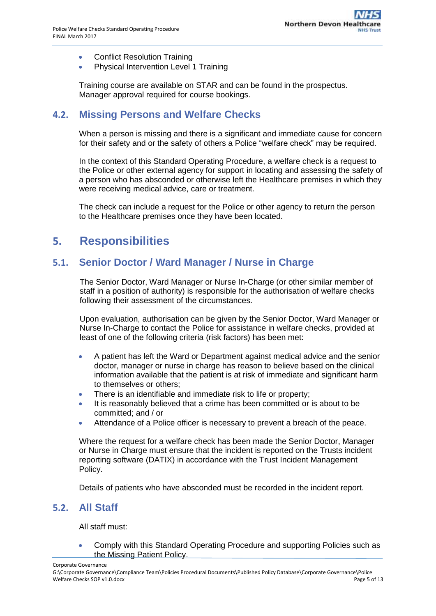- Conflict Resolution Training
- Physical Intervention Level 1 Training

Training course are available on STAR and can be found in the prospectus. Manager approval required for course bookings.

#### **4.2. Missing Persons and Welfare Checks**

When a person is missing and there is a significant and immediate cause for concern for their safety and or the safety of others a Police "welfare check" may be required.

In the context of this Standard Operating Procedure, a welfare check is a request to the Police or other external agency for support in locating and assessing the safety of a person who has absconded or otherwise left the Healthcare premises in which they were receiving medical advice, care or treatment.

The check can include a request for the Police or other agency to return the person to the Healthcare premises once they have been located.

### <span id="page-4-0"></span>**5. Responsibilities**

#### **5.1. Senior Doctor / Ward Manager / Nurse in Charge**

The Senior Doctor, Ward Manager or Nurse In-Charge (or other similar member of staff in a position of authority) is responsible for the authorisation of welfare checks following their assessment of the circumstances.

Upon evaluation, authorisation can be given by the Senior Doctor, Ward Manager or Nurse In-Charge to contact the Police for assistance in welfare checks, provided at least of one of the following criteria (risk factors) has been met:

- A patient has left the Ward or Department against medical advice and the senior doctor, manager or nurse in charge has reason to believe based on the clinical information available that the patient is at risk of immediate and significant harm to themselves or others;
- There is an identifiable and immediate risk to life or property;
- It is reasonably believed that a crime has been committed or is about to be committed; and / or
- Attendance of a Police officer is necessary to prevent a breach of the peace.

Where the request for a welfare check has been made the Senior Doctor, Manager or Nurse in Charge must ensure that the incident is reported on the Trusts incident reporting software (DATIX) in accordance with the Trust Incident Management Policy.

Details of patients who have absconded must be recorded in the incident report.

#### **5.2. All Staff**

All staff must:

 Comply with this Standard Operating Procedure and supporting Policies such as the Missing Patient Policy.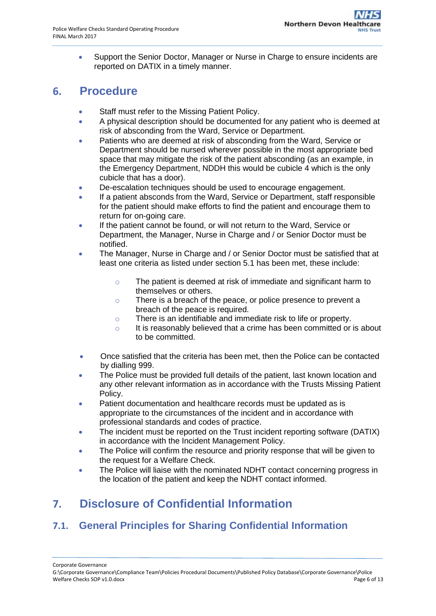Support the Senior Doctor, Manager or Nurse in Charge to ensure incidents are reported on DATIX in a timely manner.

### <span id="page-5-0"></span>**6. Procedure**

- Staff must refer to the Missing Patient Policy.
- A physical description should be documented for any patient who is deemed at risk of absconding from the Ward, Service or Department.
- Patients who are deemed at risk of absconding from the Ward, Service or Department should be nursed wherever possible in the most appropriate bed space that may mitigate the risk of the patient absconding (as an example, in the Emergency Department, NDDH this would be cubicle 4 which is the only cubicle that has a door).
- De-escalation techniques should be used to encourage engagement.
- If a patient absconds from the Ward, Service or Department, staff responsible for the patient should make efforts to find the patient and encourage them to return for on-going care.
- If the patient cannot be found, or will not return to the Ward, Service or Department, the Manager, Nurse in Charge and / or Senior Doctor must be notified.
- The Manager, Nurse in Charge and / or Senior Doctor must be satisfied that at least one criteria as listed under section 5.1 has been met, these include:
	- o The patient is deemed at risk of immediate and significant harm to themselves or others.
	- o There is a breach of the peace, or police presence to prevent a breach of the peace is required.
	- o There is an identifiable and immediate risk to life or property.
	- o It is reasonably believed that a crime has been committed or is about to be committed.
- Once satisfied that the criteria has been met, then the Police can be contacted by dialling 999.
- The Police must be provided full details of the patient, last known location and any other relevant information as in accordance with the Trusts Missing Patient Policy.
- Patient documentation and healthcare records must be updated as is appropriate to the circumstances of the incident and in accordance with professional standards and codes of practice.
- The incident must be reported on the Trust incident reporting software (DATIX) in accordance with the Incident Management Policy.
- The Police will confirm the resource and priority response that will be given to the request for a Welfare Check.
- The Police will liaise with the nominated NDHT contact concerning progress in the location of the patient and keep the NDHT contact informed.

# <span id="page-5-1"></span>**7. Disclosure of Confidential Information**

### **7.1. General Principles for Sharing Confidential Information**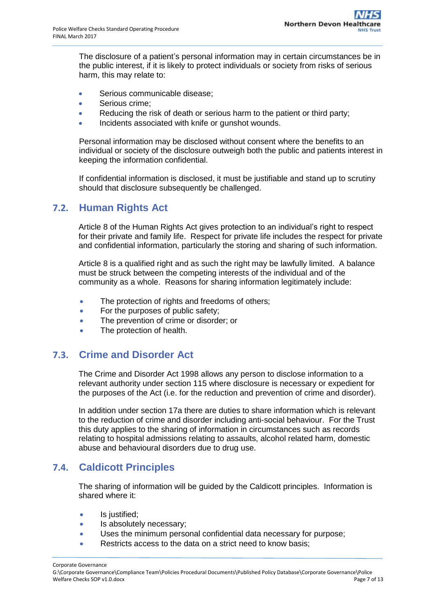The disclosure of a patient's personal information may in certain circumstances be in the public interest, if it is likely to protect individuals or society from risks of serious harm, this may relate to:

- Serious communicable disease;
- Serious crime:
- Reducing the risk of death or serious harm to the patient or third party;
- Incidents associated with knife or gunshot wounds.

Personal information may be disclosed without consent where the benefits to an individual or society of the disclosure outweigh both the public and patients interest in keeping the information confidential.

If confidential information is disclosed, it must be justifiable and stand up to scrutiny should that disclosure subsequently be challenged.

### **7.2. Human Rights Act**

Article 8 of the Human Rights Act gives protection to an individual's right to respect for their private and family life. Respect for private life includes the respect for private and confidential information, particularly the storing and sharing of such information.

Article 8 is a qualified right and as such the right may be lawfully limited. A balance must be struck between the competing interests of the individual and of the community as a whole. Reasons for sharing information legitimately include:

- The protection of rights and freedoms of others;
- For the purposes of public safety;
- The prevention of crime or disorder; or
- The protection of health.

### **7.3. Crime and Disorder Act**

The Crime and Disorder Act 1998 allows any person to disclose information to a relevant authority under section 115 where disclosure is necessary or expedient for the purposes of the Act (i.e. for the reduction and prevention of crime and disorder).

In addition under section 17a there are duties to share information which is relevant to the reduction of crime and disorder including anti-social behaviour. For the Trust this duty applies to the sharing of information in circumstances such as records relating to hospital admissions relating to assaults, alcohol related harm, domestic abuse and behavioural disorders due to drug use.

### **7.4. Caldicott Principles**

The sharing of information will be guided by the Caldicott principles. Information is shared where it:

- Is justified;
- Is absolutely necessary;
- Uses the minimum personal confidential data necessary for purpose;
- Restricts access to the data on a strict need to know basis;

Corporate Governance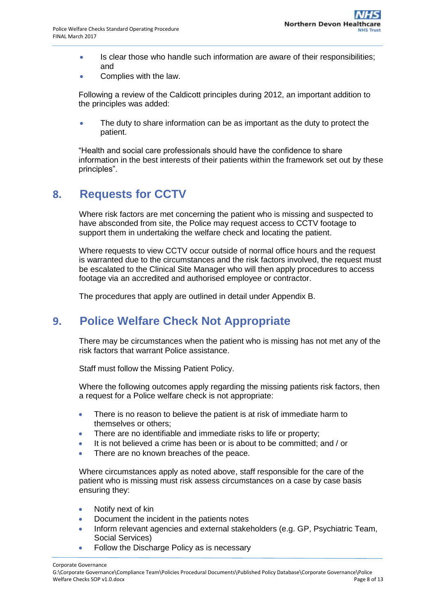- Is clear those who handle such information are aware of their responsibilities; and
- Complies with the law.

Following a review of the Caldicott principles during 2012, an important addition to the principles was added:

• The duty to share information can be as important as the duty to protect the patient.

"Health and social care professionals should have the confidence to share information in the best interests of their patients within the framework set out by these principles".

### <span id="page-7-0"></span>**8. Requests for CCTV**

Where risk factors are met concerning the patient who is missing and suspected to have absconded from site, the Police may request access to CCTV footage to support them in undertaking the welfare check and locating the patient.

Where requests to view CCTV occur outside of normal office hours and the request is warranted due to the circumstances and the risk factors involved, the request must be escalated to the Clinical Site Manager who will then apply procedures to access footage via an accredited and authorised employee or contractor.

The procedures that apply are outlined in detail under Appendix B.

### <span id="page-7-1"></span>**9. Police Welfare Check Not Appropriate**

There may be circumstances when the patient who is missing has not met any of the risk factors that warrant Police assistance.

Staff must follow the Missing Patient Policy.

Where the following outcomes apply regarding the missing patients risk factors, then a request for a Police welfare check is not appropriate:

- There is no reason to believe the patient is at risk of immediate harm to themselves or others;
- There are no identifiable and immediate risks to life or property;
- It is not believed a crime has been or is about to be committed; and / or
- There are no known breaches of the peace.

Where circumstances apply as noted above, staff responsible for the care of the patient who is missing must risk assess circumstances on a case by case basis ensuring they:

- Notify next of kin
- Document the incident in the patients notes
- Inform relevant agencies and external stakeholders (e.g. GP, Psychiatric Team, Social Services)
- Follow the Discharge Policy as is necessary

Corporate Governance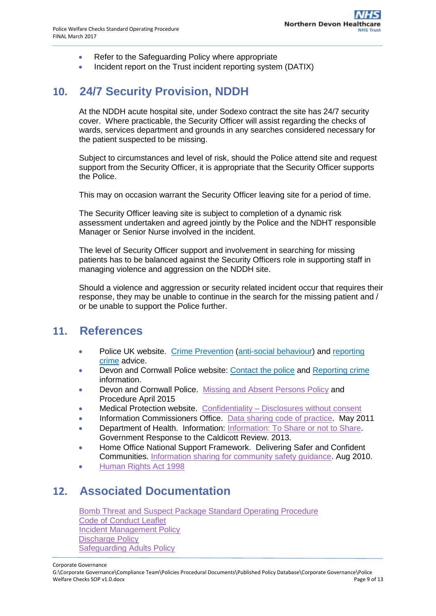- Refer to the Safeguarding Policy where appropriate
- Incident report on the Trust incident reporting system (DATIX)

### <span id="page-8-0"></span>**10. 24/7 Security Provision, NDDH**

At the NDDH acute hospital site, under Sodexo contract the site has 24/7 security cover. Where practicable, the Security Officer will assist regarding the checks of wards, services department and grounds in any searches considered necessary for the patient suspected to be missing.

Subject to circumstances and level of risk, should the Police attend site and request support from the Security Officer, it is appropriate that the Security Officer supports the Police.

This may on occasion warrant the Security Officer leaving site for a period of time.

The Security Officer leaving site is subject to completion of a dynamic risk assessment undertaken and agreed jointly by the Police and the NDHT responsible Manager or Senior Nurse involved in the incident.

The level of Security Officer support and involvement in searching for missing patients has to be balanced against the Security Officers role in supporting staff in managing violence and aggression on the NDDH site.

Should a violence and aggression or security related incident occur that requires their response, they may be unable to continue in the search for the missing patient and / or be unable to support the Police further.

### <span id="page-8-1"></span>**11. References**

- Police UK website. [Crime Prevention](https://www.police.uk/crime-prevention-advice/) [\(anti-social behaviour\)](https://www.police.uk/crime-prevention-advice/anti-social-behaviour/) and [reporting](https://www.police.uk/information-and-advice/reporting-crime/)  [crime](https://www.police.uk/information-and-advice/reporting-crime/) advice.
- Devon and Cornwall Police website: [Contact the police](https://www.police.uk/contact/) and [Reporting crime](https://www.police.uk/information-and-advice/reporting-crime/) information.
- Devon and Cornwall Police. Missing and [Absent Persons Policy](file:///C:/Users/CousinMi/Downloads/D072open%20(1).pdf) and Procedure April 2015
- Medical Protection website. Confidentiality [Disclosures without consent](http://www.medicalprotection.org/uk/resources/factsheets/england/england-factsheets/uk-eng-confidentiality-disclosures-without-consent)
- Information Commissioners Office. [Data sharing code of practice.](https://ico.org.uk/media/for-organisations/documents/1068/data_sharing_code_of_practice.pdf) May 2011
- Department of Health. Information: [Information: To Share or not to Share.](https://www.gov.uk/government/uploads/system/uploads/attachment_data/file/251750/9731-2901141-TSO-Caldicott-Government_Response_ACCESSIBLE.PDF) Government Response to the Caldicott Review. 2013.
- Home Office National Support Framework. Delivering Safer and Confident Communities. [Information sharing for community safety guidance.](https://www.gov.uk/government/publications/information-sharing-for-community-safety) Aug 2010.
- [Human Rights Act 1998](http://www.legislation.gov.uk/ukpga/1998/42/pdfs/ukpga_19980042_en.pdf)

### <span id="page-8-2"></span>**12. Associated Documentation**

[Bomb Threat and Suspect Package Standard Operating Procedure](http://ndht.ndevon.swest.nhs.uk/bomb-threat-and-suspect-package-standard-operating-procedure/) [Code of Conduct Leaflet](http://www.northdevonhealth.nhs.uk/2015/03/code-of-conduct/) [Incident Management Policy](http://ndht.ndevon.swest.nhs.uk/incident-management-and-investigation-policy/) [Discharge Policy](http://ndht.ndevon.swest.nhs.uk/discharge-policy/) [Safeguarding Adults Policy](http://ndht.ndevon.swest.nhs.uk/safeguarding-adults-policy/)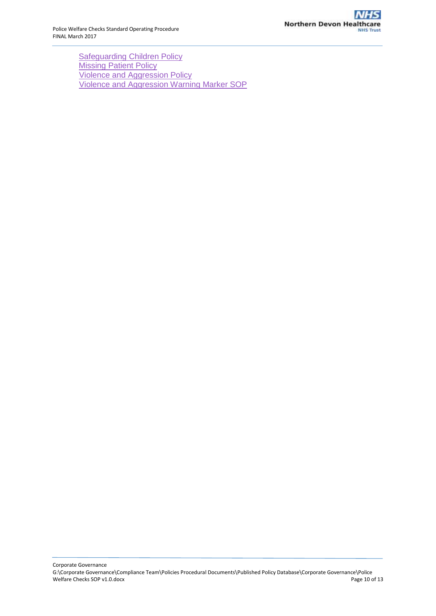**[Safeguarding Children Policy](http://ndht.ndevon.swest.nhs.uk/?s=safeguarding&cats=1188) [Missing Patient Policy](http://ndht.ndevon.swest.nhs.uk/missing-patient-policy/)** [Violence and Aggression Policy](http://ndht.ndevon.swest.nhs.uk/managing-violence-and-aggression-policy/) [Violence and Aggression Warning Marker SOP](http://ndht.ndevon.swest.nhs.uk/violence-and-aggression-warning-marker-standard-operating-procedure/)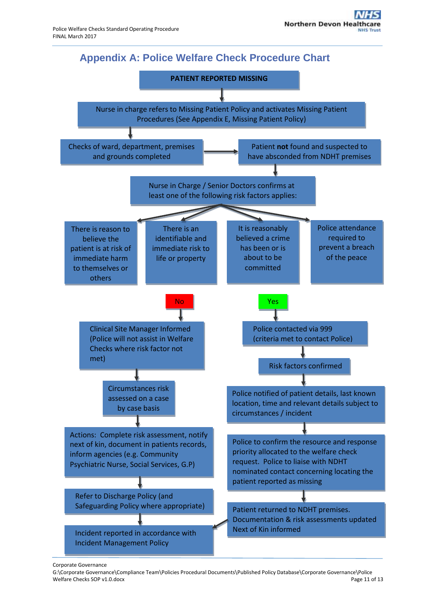

<span id="page-10-0"></span>

#### Corporate Governance

G:\Corporate Governance\Compliance Team\Policies Procedural Documents\Published Policy Database\Corporate Governance\Police<br>Welfare Checks SOP v1.0.docx<br>Page 11 of 13 Welfare Checks SOP v1.0.docx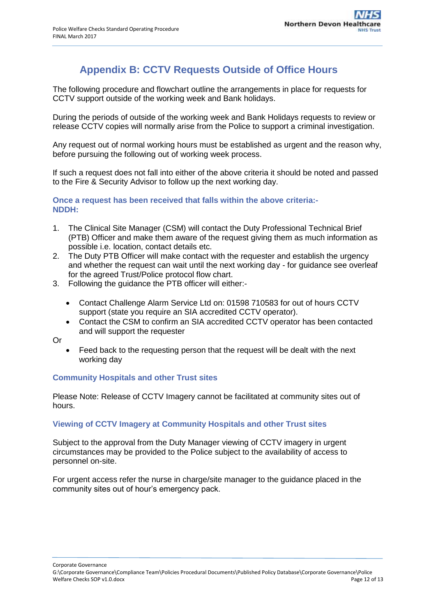### **Appendix B: CCTV Requests Outside of Office Hours**

<span id="page-11-0"></span>The following procedure and flowchart outline the arrangements in place for requests for CCTV support outside of the working week and Bank holidays.

During the periods of outside of the working week and Bank Holidays requests to review or release CCTV copies will normally arise from the Police to support a criminal investigation.

Any request out of normal working hours must be established as urgent and the reason why, before pursuing the following out of working week process.

If such a request does not fall into either of the above criteria it should be noted and passed to the Fire & Security Advisor to follow up the next working day.

**Once a request has been received that falls within the above criteria:- NDDH:**

- 1. The Clinical Site Manager (CSM) will contact the Duty Professional Technical Brief (PTB) Officer and make them aware of the request giving them as much information as possible i.e. location, contact details etc.
- 2. The Duty PTB Officer will make contact with the requester and establish the urgency and whether the request can wait until the next working day - for guidance see overleaf for the agreed Trust/Police protocol flow chart.
- 3. Following the guidance the PTB officer will either:-
	- Contact Challenge Alarm Service Ltd on: 01598 710583 for out of hours CCTV support (state you require an SIA accredited CCTV operator).
	- Contact the CSM to confirm an SIA accredited CCTV operator has been contacted and will support the requester

Or

 Feed back to the requesting person that the request will be dealt with the next working day

#### **Community Hospitals and other Trust sites**

Please Note: Release of CCTV Imagery cannot be facilitated at community sites out of hours.

#### **Viewing of CCTV Imagery at Community Hospitals and other Trust sites**

Subject to the approval from the Duty Manager viewing of CCTV imagery in urgent circumstances may be provided to the Police subject to the availability of access to personnel on-site.

For urgent access refer the nurse in charge/site manager to the guidance placed in the community sites out of hour's emergency pack.